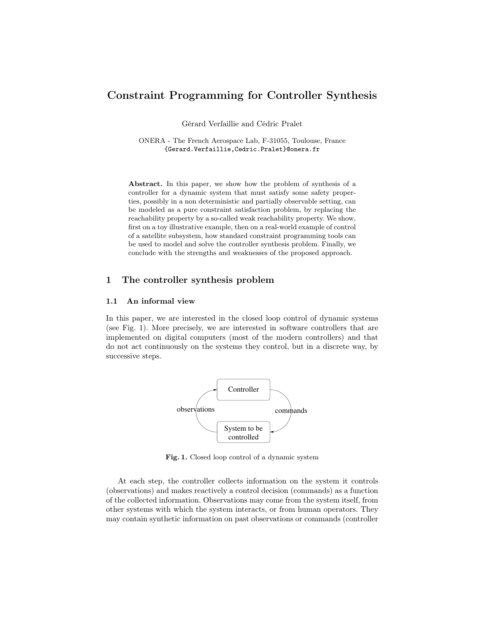# Constraint Programming for Controller Synthesis

Gérard Verfaillie and Cédric Pralet

ONERA - The French Aerospace Lab, F-31055, Toulouse, France {Gerard.Verfaillie,Cedric.Pralet}@onera.fr

Abstract. In this paper, we show how the problem of synthesis of a controller for a dynamic system that must satisfy some safety properties, possibly in a non deterministic and partially observable setting, can be modeled as a pure constraint satisfaction problem, by replacing the reachability property by a so-called weak reachability property. We show, first on a toy illustrative example, then on a real-world example of control of a satellite subsystem, how standard constraint programming tools can be used to model and solve the controller synthesis problem. Finally, we conclude with the strengths and weaknesses of the proposed approach.

## 1 The controller synthesis problem

### 1.1 An informal view

In this paper, we are interested in the closed loop control of dynamic systems (see Fig. 1). More precisely, we are interested in software controllers that are implemented on digital computers (most of the modern controllers) and that do not act continuously on the systems they control, but in a discrete way, by successive steps.



Fig. 1. Closed loop control of a dynamic system

At each step, the controller collects information on the system it controls (observations) and makes reactively a control decision (commands) as a function of the collected information. Observations may come from the system itself, from other systems with which the system interacts, or from human operators. They may contain synthetic information on past observations or commands (controller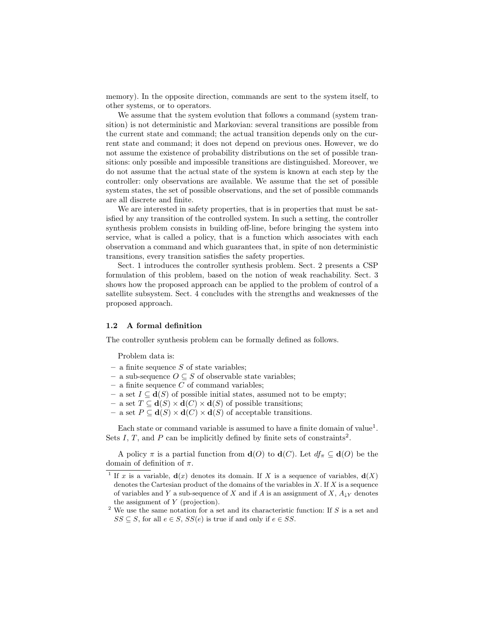memory). In the opposite direction, commands are sent to the system itself, to other systems, or to operators.

We assume that the system evolution that follows a command (system transition) is not deterministic and Markovian: several transitions are possible from the current state and command; the actual transition depends only on the current state and command; it does not depend on previous ones. However, we do not assume the existence of probability distributions on the set of possible transitions: only possible and impossible transitions are distinguished. Moreover, we do not assume that the actual state of the system is known at each step by the controller: only observations are available. We assume that the set of possible system states, the set of possible observations, and the set of possible commands are all discrete and finite.

We are interested in safety properties, that is in properties that must be satisfied by any transition of the controlled system. In such a setting, the controller synthesis problem consists in building off-line, before bringing the system into service, what is called a policy, that is a function which associates with each observation a command and which guarantees that, in spite of non deterministic transitions, every transition satisfies the safety properties.

Sect. 1 introduces the controller synthesis problem. Sect. 2 presents a CSP formulation of this problem, based on the notion of weak reachability. Sect. 3 shows how the proposed approach can be applied to the problem of control of a satellite subsystem. Sect. 4 concludes with the strengths and weaknesses of the proposed approach.

#### 1.2 A formal definition

The controller synthesis problem can be formally defined as follows.

Problem data is:

- a finite sequence  $S$  of state variables;
- a sub-sequence  $O ⊆ S$  of observable state variables;
- $-$  a finite sequence  $C$  of command variables;
- a set  $I ⊂ d(S)$  of possible initial states, assumed not to be empty;
- a set  $T \subseteq d(S) \times d(C) \times d(S)$  of possible transitions;
- a set  $P \subseteq d(S) \times d(C) \times d(S)$  of acceptable transitions.

Each state or command variable is assumed to have a finite domain of value<sup>1</sup>. Sets I, T, and P can be implicitly defined by finite sets of constraints<sup>2</sup>.

A policy  $\pi$  is a partial function from  $\mathbf{d}(O)$  to  $\mathbf{d}(C)$ . Let  $df_{\pi} \subseteq \mathbf{d}(O)$  be the domain of definition of  $\pi$ .

 $2$  We use the same notation for a set and its characteristic function: If S is a set and  $SS \subseteq S$ , for all  $e \in S$ ,  $SS(e)$  is true if and only if  $e \in SS$ .

<sup>&</sup>lt;sup>1</sup> If x is a variable,  $\mathbf{d}(x)$  denotes its domain. If X is a sequence of variables,  $\mathbf{d}(X)$ denotes the Cartesian product of the domains of the variables in  $X$ . If  $X$  is a sequence of variables and Y a sub-sequence of X and if A is an assignment of X,  $A_{\downarrow Y}$  denotes the assignment of Y (projection).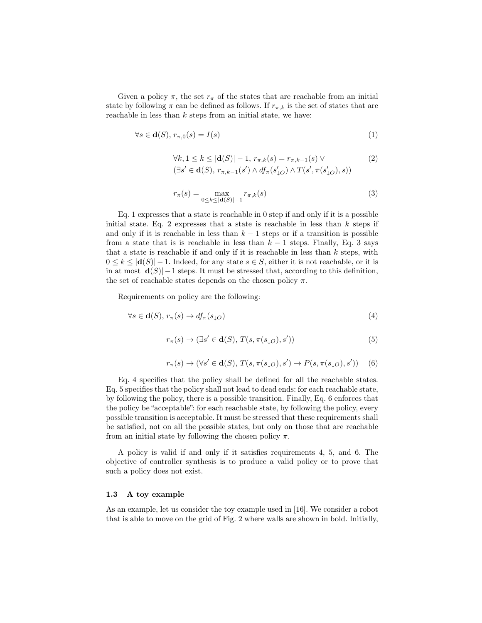Given a policy  $\pi$ , the set  $r_{\pi}$  of the states that are reachable from an initial state by following  $\pi$  can be defined as follows. If  $r_{\pi,k}$  is the set of states that are reachable in less than  $k$  steps from an initial state, we have:

$$
\forall s \in \mathbf{d}(S), r_{\pi,0}(s) = I(s) \tag{1}
$$

$$
\forall k, 1 \le k \le |\mathbf{d}(S)| - 1, r_{\pi,k}(s) = r_{\pi,k-1}(s) \vee
$$
  
\n
$$
(\exists s' \in \mathbf{d}(S), r_{\pi,k-1}(s') \wedge df_{\pi}(s'_{\downarrow O}) \wedge T(s', \pi(s'_{\downarrow O}), s))
$$
\n(2)

$$
r_{\pi}(s) = \max_{0 \le k \le |\mathbf{d}(S)| - 1} r_{\pi,k}(s)
$$
\n(3)

Eq. 1 expresses that a state is reachable in 0 step if and only if it is a possible initial state. Eq. 2 expresses that a state is reachable in less than  $k$  steps if and only if it is reachable in less than  $k-1$  steps or if a transition is possible from a state that is is reachable in less than  $k-1$  steps. Finally, Eq. 3 says that a state is reachable if and only if it is reachable in less than  $k$  steps, with  $0 \leq k \leq |d(S)| - 1$ . Indeed, for any state  $s \in S$ , either it is not reachable, or it is in at most  $|d(S)| - 1$  steps. It must be stressed that, according to this definition, the set of reachable states depends on the chosen policy  $\pi$ .

Requirements on policy are the following:

$$
\forall s \in \mathbf{d}(S), r_{\pi}(s) \to df_{\pi}(s_{\downarrow O})
$$
\n<sup>(4)</sup>

$$
r_{\pi}(s) \to (\exists s' \in \mathbf{d}(S), T(s, \pi(s_{\downarrow O}), s')) \tag{5}
$$

$$
r_{\pi}(s) \to (\forall s' \in \mathbf{d}(S), T(s, \pi(s_{\downarrow O}), s') \to P(s, \pi(s_{\downarrow O}), s')) \quad (6)
$$

Eq. 4 specifies that the policy shall be defined for all the reachable states. Eq. 5 specifies that the policy shall not lead to dead ends: for each reachable state, by following the policy, there is a possible transition. Finally, Eq. 6 enforces that the policy be "acceptable": for each reachable state, by following the policy, every possible transition is acceptable. It must be stressed that these requirements shall be satisfied, not on all the possible states, but only on those that are reachable from an initial state by following the chosen policy  $\pi$ .

A policy is valid if and only if it satisfies requirements 4, 5, and 6. The objective of controller synthesis is to produce a valid policy or to prove that such a policy does not exist.

### 1.3 A toy example

As an example, let us consider the toy example used in [16]. We consider a robot that is able to move on the grid of Fig. 2 where walls are shown in bold. Initially,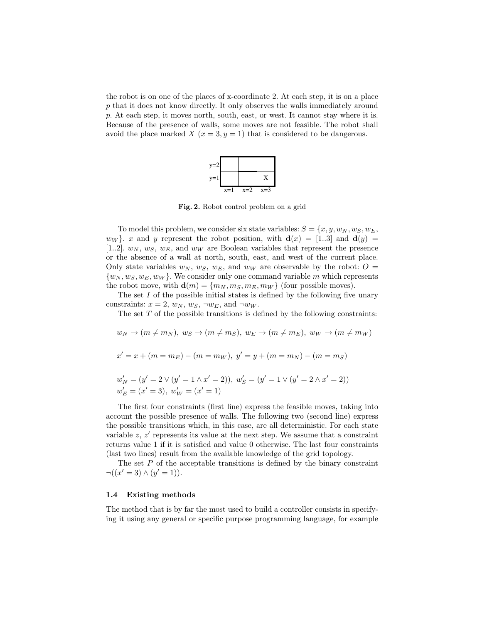the robot is on one of the places of x-coordinate 2. At each step, it is on a place p that it does not know directly. It only observes the walls immediately around p. At each step, it moves north, south, east, or west. It cannot stay where it is. Because of the presence of walls, some moves are not feasible. The robot shall avoid the place marked  $X(x = 3, y = 1)$  that is considered to be dangerous.



Fig. 2. Robot control problem on a grid

To model this problem, we consider six state variables:  $S = \{x, y, w_N, w_S, w_E,$  $w_W$ . x and y represent the robot position, with  $\mathbf{d}(x) = [1..3]$  and  $\mathbf{d}(y) =$ [1..2].  $w_N$ ,  $w_S$ ,  $w_E$ , and  $w_W$  are Boolean variables that represent the presence or the absence of a wall at north, south, east, and west of the current place. Only state variables  $w_N$ ,  $w_S$ ,  $w_E$ , and  $w_W$  are observable by the robot:  $O =$  $\{w_N, w_S, w_E, w_W\}$ . We consider only one command variable m which represents the robot move, with  $\mathbf{d}(m) = \{m_N, m_S, m_E, m_W\}$  (four possible moves).

The set  $I$  of the possible initial states is defined by the following five unary constraints:  $x = 2$ ,  $w_N$ ,  $w_S$ ,  $\neg w_E$ , and  $\neg w_W$ .

The set  $T$  of the possible transitions is defined by the following constraints:

$$
w_N \to (m \neq m_N), w_S \to (m \neq m_S), w_E \to (m \neq m_E), w_W \to (m \neq m_W)
$$
  

$$
x' = x + (m = m_E) - (m = m_W), y' = y + (m = m_N) - (m = m_S)
$$
  

$$
w'_N = (y' = 2 \lor (y' = 1 \land x' = 2)), w'_S = (y' = 1 \lor (y' = 2 \land x' = 2))
$$
  

$$
w'_E = (x' = 3), w'_W = (x' = 1)
$$

The first four constraints (first line) express the feasible moves, taking into account the possible presence of walls. The following two (second line) express the possible transitions which, in this case, are all deterministic. For each state variable  $z, z'$  represents its value at the next step. We assume that a constraint returns value 1 if it is satisfied and value 0 otherwise. The last four constraints (last two lines) result from the available knowledge of the grid topology.

The set  $P$  of the acceptable transitions is defined by the binary constraint  $\neg((x'=3) \land (y'=1)).$ 

#### 1.4 Existing methods

The method that is by far the most used to build a controller consists in specifying it using any general or specific purpose programming language, for example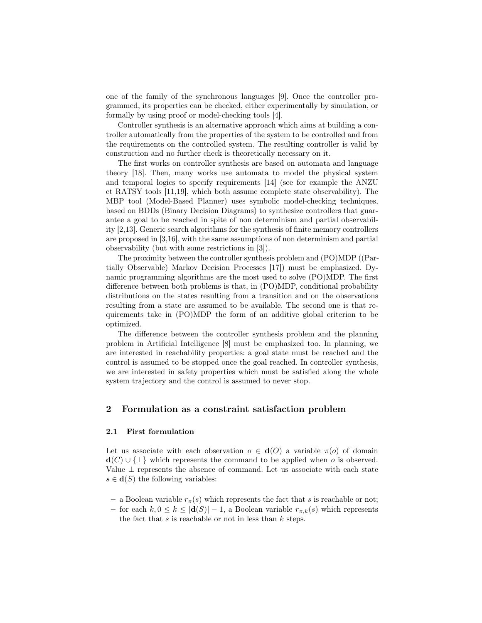one of the family of the synchronous languages [9]. Once the controller programmed, its properties can be checked, either experimentally by simulation, or formally by using proof or model-checking tools [4].

Controller synthesis is an alternative approach which aims at building a controller automatically from the properties of the system to be controlled and from the requirements on the controlled system. The resulting controller is valid by construction and no further check is theoretically necessary on it.

The first works on controller synthesis are based on automata and language theory [18]. Then, many works use automata to model the physical system and temporal logics to specify requirements [14] (see for example the ANZU et RATSY tools [11,19], which both assume complete state observability). The MBP tool (Model-Based Planner) uses symbolic model-checking techniques, based on BDDs (Binary Decision Diagrams) to synthesize controllers that guarantee a goal to be reached in spite of non determinism and partial observability [2,13]. Generic search algorithms for the synthesis of finite memory controllers are proposed in [3,16], with the same assumptions of non determinism and partial observability (but with some restrictions in [3]).

The proximity between the controller synthesis problem and (PO)MDP ((Partially Observable) Markov Decision Processes [17]) must be emphasized. Dynamic programming algorithms are the most used to solve (PO)MDP. The first difference between both problems is that, in (PO)MDP, conditional probability distributions on the states resulting from a transition and on the observations resulting from a state are assumed to be available. The second one is that requirements take in (PO)MDP the form of an additive global criterion to be optimized.

The difference between the controller synthesis problem and the planning problem in Artificial Intelligence [8] must be emphasized too. In planning, we are interested in reachability properties: a goal state must be reached and the control is assumed to be stopped once the goal reached. In controller synthesis, we are interested in safety properties which must be satisfied along the whole system trajectory and the control is assumed to never stop.

## 2 Formulation as a constraint satisfaction problem

#### 2.1 First formulation

Let us associate with each observation  $o \in d(O)$  a variable  $\pi(o)$  of domain  $d(C) \cup {\{\perp\}}$  which represents the command to be applied when o is observed. Value  $\perp$  represents the absence of command. Let us associate with each state  $s \in \mathbf{d}(S)$  the following variables:

- a Boolean variable  $r_{\pi}(s)$  which represents the fact that s is reachable or not;
- for each k, 0 ≤ k ≤ |d(S)| − 1, a Boolean variable  $r_{π, k}(s)$  which represents the fact that  $s$  is reachable or not in less than  $k$  steps.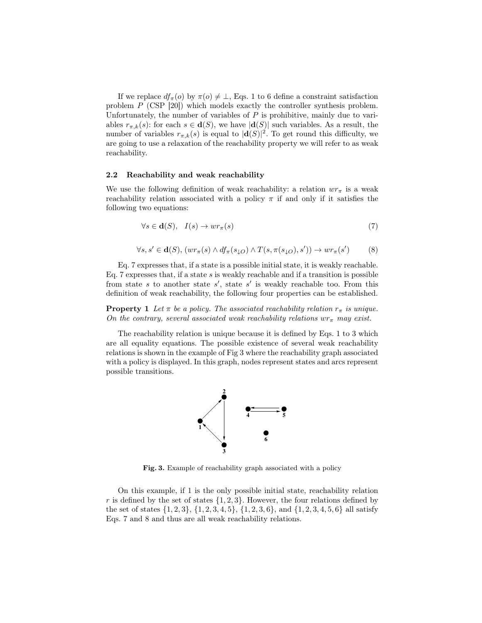If we replace  $df_{\pi}(o)$  by  $\pi(o) \neq \bot$ , Eqs. 1 to 6 define a constraint satisfaction problem P (CSP [20]) which models exactly the controller synthesis problem. Unfortunately, the number of variables of  $P$  is prohibitive, mainly due to variables  $r_{\pi,k}(s)$ : for each  $s \in \mathbf{d}(S)$ , we have  $|\mathbf{d}(S)|$  such variables. As a result, the number of variables  $r_{\pi,k}(s)$  is equal to  $|\mathbf{d}(S)|^2$ . To get round this difficulty, we are going to use a relaxation of the reachability property we will refer to as weak reachability.

### 2.2 Reachability and weak reachability

We use the following definition of weak reachability: a relation  $wr_{\pi}$  is a weak reachability relation associated with a policy  $\pi$  if and only if it satisfies the following two equations:

$$
\forall s \in \mathbf{d}(S), \quad I(s) \to wr_{\pi}(s) \tag{7}
$$

$$
\forall s, s' \in \mathbf{d}(S), (wr_{\pi}(s) \land df_{\pi}(s_{\downarrow O}) \land T(s, \pi(s_{\downarrow O}), s')) \rightarrow wr_{\pi}(s')
$$
 (8)

Eq. 7 expresses that, if a state is a possible initial state, it is weakly reachable. Eq. 7 expresses that, if a state  $s$  is weakly reachable and if a transition is possible from state s to another state s', state s' is weakly reachable too. From this definition of weak reachability, the following four properties can be established.

**Property 1** Let  $\pi$  be a policy. The associated reachability relation  $r_{\pi}$  is unique. On the contrary, several associated weak reachability relations  $wr_{\pi}$  may exist.

The reachability relation is unique because it is defined by Eqs. 1 to 3 which are all equality equations. The possible existence of several weak reachability relations is shown in the example of Fig 3 where the reachability graph associated with a policy is displayed. In this graph, nodes represent states and arcs represent possible transitions.



Fig. 3. Example of reachability graph associated with a policy

On this example, if 1 is the only possible initial state, reachability relation r is defined by the set of states  $\{1, 2, 3\}$ . However, the four relations defined by the set of states  $\{1, 2, 3\}, \{1, 2, 3, 4, 5\}, \{1, 2, 3, 6\}, \text{ and } \{1, 2, 3, 4, 5, 6\}$  all satisfy Eqs. 7 and 8 and thus are all weak reachability relations.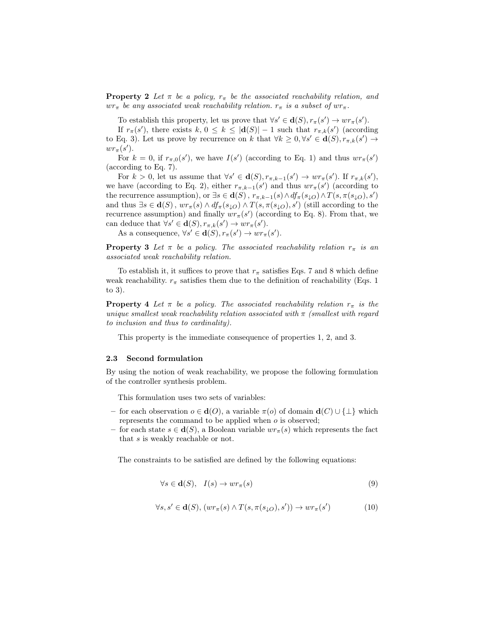**Property 2** Let  $\pi$  be a policy,  $r_{\pi}$  be the associated reachability relation, and  $wr_{\pi}$  be any associated weak reachability relation.  $r_{\pi}$  is a subset of  $wr_{\pi}$ .

To establish this property, let us prove that  $\forall s' \in \mathbf{d}(S), r_{\pi}(s') \to wr_{\pi}(s')$ .

If  $r_{\pi}(s')$ , there exists  $k, 0 \leq k \leq |\mathbf{d}(S)| - 1$  such that  $r_{\pi,k}(s')$  (according to Eq. 3). Let us prove by recurrence on k that  $\forall k \geq 0, \forall s' \in \mathbf{d}(S), r_{\pi,k}(s') \to$  $wr_{\pi}(s')$ .

For  $k = 0$ , if  $r_{\pi,0}(s')$ , we have  $I(s')$  (according to Eq. 1) and thus  $wr_{\pi}(s')$ (according to Eq. 7).

For  $k > 0$ , let us assume that  $\forall s' \in \mathbf{d}(S), r_{\pi,k-1}(s') \to wr_{\pi}(s')$ . If  $r_{\pi,k}(s')$ , we have (according to Eq. 2), either  $r_{\pi,k-1}(s')$  and thus  $wr_{\pi}(s')$  (according to the recurrence assumption), or  $\exists s \in \mathbf{d}(S)$ ,  $r_{\pi,k-1}(s) \wedge df_{\pi}(s_{\downarrow O}) \wedge T(s, \pi(s_{\downarrow O}), s')$ and thus  $\exists s \in \mathbf{d}(S)$ ,  $wr_{\pi}(s) \wedge df_{\pi}(s_{\downarrow O}) \wedge T(s, \pi(s_{\downarrow O}), s')$  (still according to the recurrence assumption) and finally  $wr_{\pi}(s')$  (according to Eq. 8). From that, we can deduce that  $\forall s' \in \mathbf{d}(S), r_{\pi,k}(s') \to wr_{\pi}(s')$ .

As a consequence,  $\forall s' \in \mathbf{d}(S), r_{\pi}(s') \to wr_{\pi}(s')$ .

**Property 3** Let  $\pi$  be a policy. The associated reachability relation  $r_{\pi}$  is an associated weak reachability relation.

To establish it, it suffices to prove that  $r_{\pi}$  satisfies Eqs. 7 and 8 which define weak reachability.  $r_{\pi}$  satisfies them due to the definition of reachability (Eqs. 1) to 3).

**Property 4** Let  $\pi$  be a policy. The associated reachability relation  $r_{\pi}$  is the unique smallest weak reachability relation associated with  $\pi$  (smallest with regard to inclusion and thus to cardinality).

This property is the immediate consequence of properties 1, 2, and 3.

### 2.3 Second formulation

By using the notion of weak reachability, we propose the following formulation of the controller synthesis problem.

This formulation uses two sets of variables:

- for each observation o ∈ d(O), a variable π(o) of domain d(C) ∪ {⊥} which represents the command to be applied when o is observed;
- for each state  $s \in d(S)$ , a Boolean variable  $wr_{\pi}(s)$  which represents the fact that s is weakly reachable or not.

The constraints to be satisfied are defined by the following equations:

$$
\forall s \in \mathbf{d}(S), \quad I(s) \to wr_{\pi}(s) \tag{9}
$$

$$
\forall s, s' \in \mathbf{d}(S), (wr_{\pi}(s) \land T(s, \pi(s_{\downarrow O}), s')) \to wr_{\pi}(s')
$$
(10)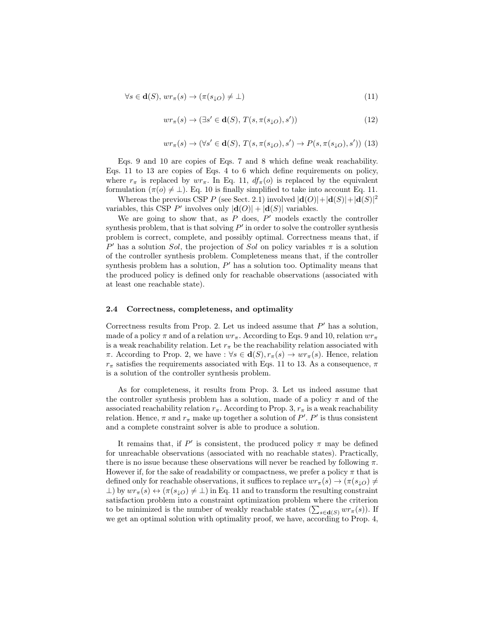$$
\forall s \in \mathbf{d}(S), \, wr_{\pi}(s) \to (\pi(s_{\downarrow O}) \neq \bot) \tag{11}
$$

$$
wr_{\pi}(s) \to (\exists s' \in \mathbf{d}(S), T(s, \pi(s_{\downarrow O}), s')) \tag{12}
$$

$$
wr_{\pi}(s) \rightarrow (\forall s' \in \mathbf{d}(S), T(s, \pi(s_{\downarrow O}), s') \rightarrow P(s, \pi(s_{\downarrow O}), s')) (13)
$$

Eqs. 9 and 10 are copies of Eqs. 7 and 8 which define weak reachability. Eqs. 11 to 13 are copies of Eqs. 4 to 6 which define requirements on policy, where  $r_{\pi}$  is replaced by  $wr_{\pi}$ . In Eq. 11,  $df_{\pi}(o)$  is replaced by the equivalent formulation  $(\pi(o) \neq \bot)$ . Eq. 10 is finally simplified to take into account Eq. 11.

Whereas the previous CSP P (see Sect. 2.1) involved  $|\mathbf{d}(O)| + |\mathbf{d}(S)| + |\mathbf{d}(S)|^2$ variables, this CSP P' involves only  $|\mathbf{d}(O)| + |\mathbf{d}(S)|$  variables.

We are going to show that, as  $P$  does,  $P'$  models exactly the controller synthesis problem, that is that solving  $P'$  in order to solve the controller synthesis problem is correct, complete, and possibly optimal. Correctness means that, if P' has a solution Sol, the projection of Sol on policy variables  $\pi$  is a solution of the controller synthesis problem. Completeness means that, if the controller synthesis problem has a solution,  $P'$  has a solution too. Optimality means that the produced policy is defined only for reachable observations (associated with at least one reachable state).

#### 2.4 Correctness, completeness, and optimality

Correctness results from Prop. 2. Let us indeed assume that  $P'$  has a solution, made of a policy  $\pi$  and of a relation  $wr_{\pi}$ . According to Eqs. 9 and 10, relation  $wr_{\pi}$ is a weak reachability relation. Let  $r_{\pi}$  be the reachability relation associated with  $\pi$ . According to Prop. 2, we have :  $\forall s \in d(S), r_{\pi}(s) \rightarrow wr_{\pi}(s)$ . Hence, relation  $r_{\pi}$  satisfies the requirements associated with Eqs. 11 to 13. As a consequence,  $\pi$ is a solution of the controller synthesis problem.

As for completeness, it results from Prop. 3. Let us indeed assume that the controller synthesis problem has a solution, made of a policy  $\pi$  and of the associated reachability relation  $r_{\pi}$ . According to Prop. 3,  $r_{\pi}$  is a weak reachability relation. Hence,  $\pi$  and  $r_{\pi}$  make up together a solution of  $P'$ .  $P'$  is thus consistent and a complete constraint solver is able to produce a solution.

It remains that, if  $P'$  is consistent, the produced policy  $\pi$  may be defined for unreachable observations (associated with no reachable states). Practically, there is no issue because these observations will never be reached by following  $\pi$ . However if, for the sake of readability or compactness, we prefer a policy  $\pi$  that is defined only for reachable observations, it suffices to replace  $wr_{\pi}(s) \rightarrow (\pi(s_{1O}) \neq$  $\perp$ ) by  $wr_{\pi}(s) \leftrightarrow (\pi(s_{\perp O}) \neq \perp)$  in Eq. 11 and to transform the resulting constraint satisfaction problem into a constraint optimization problem where the criterion to be minimized is the number of weakly reachable states  $(\sum_{s \in \mathbf{d}(S)} wr_{\pi}(s))$ . If we get an optimal solution with optimality proof, we have, according to Prop. 4,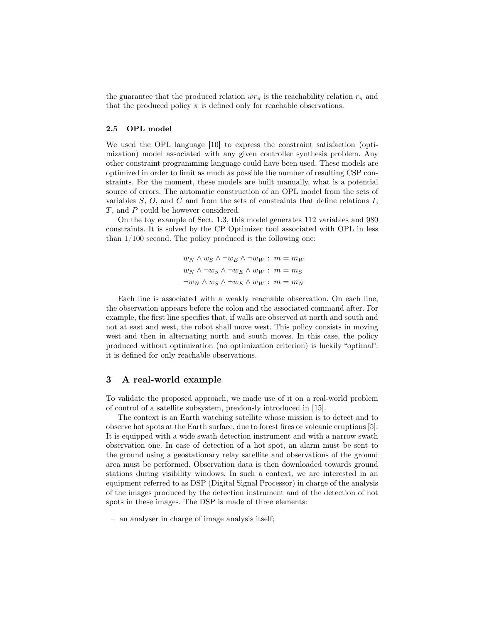the guarantee that the produced relation  $wr_{\pi}$  is the reachability relation  $r_{\pi}$  and that the produced policy  $\pi$  is defined only for reachable observations.

## 2.5 OPL model

We used the OPL language [10] to express the constraint satisfaction (optimization) model associated with any given controller synthesis problem. Any other constraint programming language could have been used. These models are optimized in order to limit as much as possible the number of resulting CSP constraints. For the moment, these models are built manually, what is a potential source of errors. The automatic construction of an OPL model from the sets of variables  $S, O$ , and  $C$  and from the sets of constraints that define relations  $I$ , T, and P could be however considered.

On the toy example of Sect. 1.3, this model generates 112 variables and 980 constraints. It is solved by the CP Optimizer tool associated with OPL in less than 1/100 second. The policy produced is the following one:

$$
w_N \wedge w_S \wedge \neg w_E \wedge \neg w_W : m = m_W
$$
  

$$
w_N \wedge \neg w_S \wedge \neg w_E \wedge w_W : m = m_S
$$
  

$$
\neg w_N \wedge w_S \wedge \neg w_E \wedge w_W : m = m_N
$$

Each line is associated with a weakly reachable observation. On each line, the observation appears before the colon and the associated command after. For example, the first line specifies that, if walls are observed at north and south and not at east and west, the robot shall move west. This policy consists in moving west and then in alternating north and south moves. In this case, the policy produced without optimization (no optimization criterion) is luckily "optimal": it is defined for only reachable observations.

#### 3 A real-world example

To validate the proposed approach, we made use of it on a real-world problem of control of a satellite subsystem, previously introduced in [15].

The context is an Earth watching satellite whose mission is to detect and to observe hot spots at the Earth surface, due to forest fires or volcanic eruptions [5]. It is equipped with a wide swath detection instrument and with a narrow swath observation one. In case of detection of a hot spot, an alarm must be sent to the ground using a geostationary relay satellite and observations of the ground area must be performed. Observation data is then downloaded towards ground stations during visibility windows. In such a context, we are interested in an equipment referred to as DSP (Digital Signal Processor) in charge of the analysis of the images produced by the detection instrument and of the detection of hot spots in these images. The DSP is made of three elements:

– an analyser in charge of image analysis itself;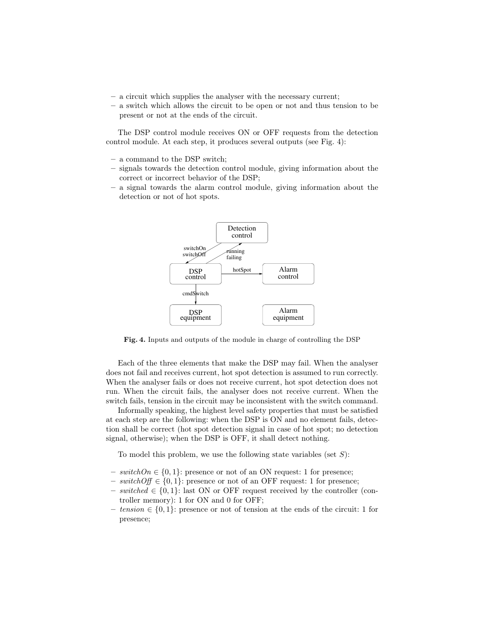- a circuit which supplies the analyser with the necessary current;
- a switch which allows the circuit to be open or not and thus tension to be present or not at the ends of the circuit.

The DSP control module receives ON or OFF requests from the detection control module. At each step, it produces several outputs (see Fig. 4):

- a command to the DSP switch;
- signals towards the detection control module, giving information about the correct or incorrect behavior of the DSP;
- a signal towards the alarm control module, giving information about the detection or not of hot spots.



Fig. 4. Inputs and outputs of the module in charge of controlling the DSP

Each of the three elements that make the DSP may fail. When the analyser does not fail and receives current, hot spot detection is assumed to run correctly. When the analyser fails or does not receive current, hot spot detection does not run. When the circuit fails, the analyser does not receive current. When the switch fails, tension in the circuit may be inconsistent with the switch command.

Informally speaking, the highest level safety properties that must be satisfied at each step are the following: when the DSP is ON and no element fails, detection shall be correct (hot spot detection signal in case of hot spot; no detection signal, otherwise); when the DSP is OFF, it shall detect nothing.

To model this problem, we use the following state variables (set  $S$ ):

- switch $On \in \{0, 1\}$ : presence or not of an ON request: 1 for presence;
- $− switchOff ∈ {0, 1}$ : presence or not of an OFF request: 1 for presence;
- $− \, switched \in \{0,1\}$ : last ON or OFF request received by the controller (controller memory): 1 for ON and 0 for OFF;
- $−$  tension ∈ {0, 1}: presence or not of tension at the ends of the circuit: 1 for presence;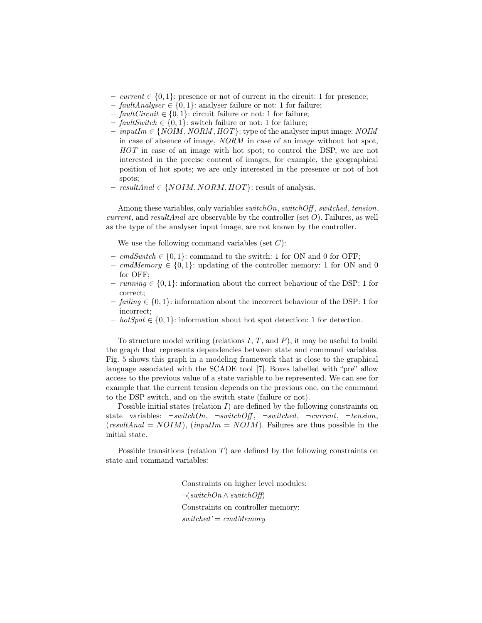- $−$  current ∈ {0, 1}: presence or not of current in the circuit: 1 for presence;
- $-$  faultAnalyser  $\in \{0, 1\}$ : analyser failure or not: 1 for failure;
- $-$  fault Circuit  $\in \{0, 1\}$ : circuit failure or not: 1 for failure;
- faultSwitch ∈ {0, 1}: switch failure or not: 1 for failure;
- $−$  inputIm ∈ {NOIM, NORM, HOT}: type of the analyser input image: NOIM in case of absence of image, NORM in case of an image without hot spot, HOT in case of an image with hot spot; to control the DSP, we are not interested in the precise content of images, for example, the geographical position of hot spots; we are only interested in the presence or not of hot spots;
- resultAnal ∈ {NOIM, NORM, HOT}: result of analysis.

Among these variables, only variables  $switchOn, switchOff, switched, tension,$ *current*, and *resultAnal* are observable by the controller (set  $O$ ). Failures, as well as the type of the analyser input image, are not known by the controller.

We use the following command variables (set  $C$ ):

- cmdSwitch ∈ {0, 1}: command to the switch: 1 for ON and 0 for OFF;
- cmdMemory ∈ {0, 1}: updating of the controller memory: 1 for ON and 0 for OFF;
- $-$  running  $\in \{0, 1\}$ : information about the correct behaviour of the DSP: 1 for correct;
- $–$  failing  $\in \{0, 1\}$ : information about the incorrect behaviour of the DSP: 1 for incorrect;
- $− hotSpot \in \{0, 1\}$ : information about hot spot detection: 1 for detection.

To structure model writing (relations  $I, T$ , and  $P$ ), it may be useful to build the graph that represents dependencies between state and command variables. Fig. 5 shows this graph in a modeling framework that is close to the graphical language associated with the SCADE tool [7]. Boxes labelled with "pre" allow access to the previous value of a state variable to be represented. We can see for example that the current tension depends on the previous one, on the command to the DSP switch, and on the switch state (failure or not).

Possible initial states (relation  $I$ ) are defined by the following constraints on state variables:  $\neg switchOn, \neg switchOff, \neg switched, \neg current, \neg tension,$ (resultAnal =  $NOM$ ), (inputIm =  $NOM$ ). Failures are thus possible in the initial state.

Possible transitions (relation  $T$ ) are defined by the following constraints on state and command variables:

> Constraints on higher level modules:  $\neg(switchOn \wedge switchOff)$ Constraints on controller memory:  $switched' = cmdMemory$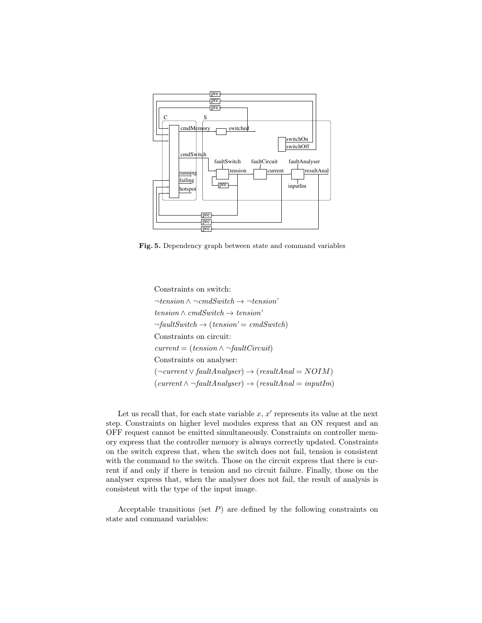

Fig. 5. Dependency graph between state and command variables

Constraints on switch:  $\neg tension \land \neg cmdSwitch \rightarrow \neg tension'$  $tension \wedge cmdSwitch \rightarrow tension'$  $\neg faultSwitch \rightarrow (tension' = cmdSwitch)$ Constraints on circuit:  $current = (tension \land \neg faultCircuit)$ Constraints on analyser:  $(\neg current \lor faultAnalyser) \rightarrow (resultAnal = N OIM)$  $(current \land \neg faultAnalyser) \rightarrow (resultAnal = inputIm)$ 

Let us recall that, for each state variable  $x, x'$  represents its value at the next step. Constraints on higher level modules express that an ON request and an OFF request cannot be emitted simultaneously. Constraints on controller memory express that the controller memory is always correctly updated. Constraints on the switch express that, when the switch does not fail, tension is consistent with the command to the switch. Those on the circuit express that there is current if and only if there is tension and no circuit failure. Finally, those on the analyser express that, when the analyser does not fail, the result of analysis is consistent with the type of the input image.

Acceptable transitions (set  $P$ ) are defined by the following constraints on state and command variables: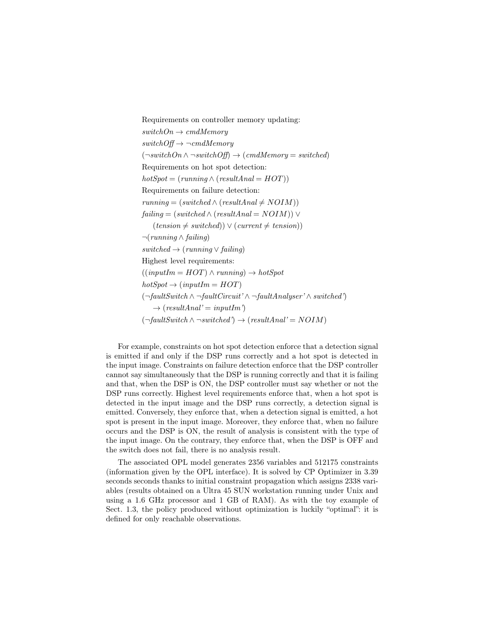Requirements on controller memory updating:  $switchOn \rightarrow cmdMemory$  $switchOf\rightarrow \neg cmdMemory$  $(\neg switchOn \land \neg switchOff) \rightarrow (cmdMemory = switched)$ Requirements on hot spot detection:  $hotSpot = (running \wedge (resultAnal = HOT))$ Requirements on failure detection:  $running = (switched \wedge (resultAnal \neq N OIM))$  $failing = (switched \wedge (resultAnal = N OIM)) \vee$  $(tension \neq switched)$ )  $\vee$  (current  $\neq tension)$ ) ¬(running ∧ failing)  $switched \rightarrow (running \vee failing)$ Highest level requirements:  $((inputIm = HOT) \land running) \rightarrow hotSpot$  $hotSpot \rightarrow (inputIm = HOT)$ (¬faultSwitch ∧ ¬faultCircuit' ∧ ¬faultAnalyser' ∧ switched')  $\rightarrow$  (resultAnal' = inputIm')  $(\neg \text{faultSwitch} \land \neg \text{switched'}) \rightarrow (\text{resultAnal'} = \text{NOIM})$ 

For example, constraints on hot spot detection enforce that a detection signal is emitted if and only if the DSP runs correctly and a hot spot is detected in the input image. Constraints on failure detection enforce that the DSP controller cannot say simultaneously that the DSP is running correctly and that it is failing and that, when the DSP is ON, the DSP controller must say whether or not the DSP runs correctly. Highest level requirements enforce that, when a hot spot is detected in the input image and the DSP runs correctly, a detection signal is emitted. Conversely, they enforce that, when a detection signal is emitted, a hot spot is present in the input image. Moreover, they enforce that, when no failure occurs and the DSP is ON, the result of analysis is consistent with the type of the input image. On the contrary, they enforce that, when the DSP is OFF and the switch does not fail, there is no analysis result.

The associated OPL model generates 2356 variables and 512175 constraints (information given by the OPL interface). It is solved by CP Optimizer in 3.39 seconds seconds thanks to initial constraint propagation which assigns 2338 variables (results obtained on a Ultra 45 SUN workstation running under Unix and using a 1.6 GHz processor and 1 GB of RAM). As with the toy example of Sect. 1.3, the policy produced without optimization is luckily "optimal": it is defined for only reachable observations.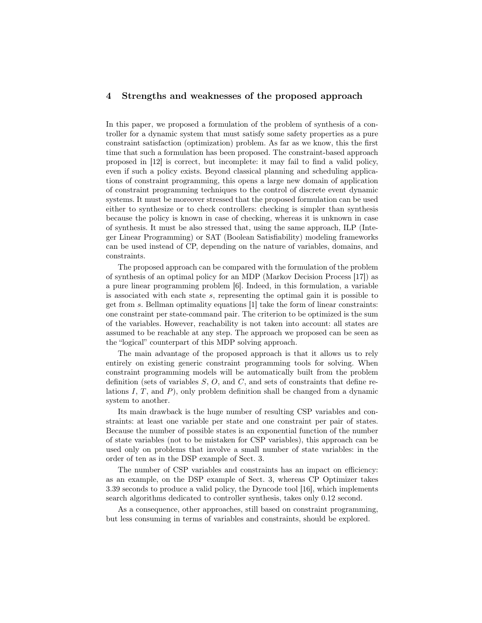## 4 Strengths and weaknesses of the proposed approach

In this paper, we proposed a formulation of the problem of synthesis of a controller for a dynamic system that must satisfy some safety properties as a pure constraint satisfaction (optimization) problem. As far as we know, this the first time that such a formulation has been proposed. The constraint-based approach proposed in [12] is correct, but incomplete: it may fail to find a valid policy, even if such a policy exists. Beyond classical planning and scheduling applications of constraint programming, this opens a large new domain of application of constraint programming techniques to the control of discrete event dynamic systems. It must be moreover stressed that the proposed formulation can be used either to synthesize or to check controllers: checking is simpler than synthesis because the policy is known in case of checking, whereas it is unknown in case of synthesis. It must be also stressed that, using the same approach, ILP (Integer Linear Programming) or SAT (Boolean Satisfiability) modeling frameworks can be used instead of CP, depending on the nature of variables, domains, and constraints.

The proposed approach can be compared with the formulation of the problem of synthesis of an optimal policy for an MDP (Markov Decision Process [17]) as a pure linear programming problem [6]. Indeed, in this formulation, a variable is associated with each state s, representing the optimal gain it is possible to get from s. Bellman optimality equations  $[1]$  take the form of linear constraints: one constraint per state-command pair. The criterion to be optimized is the sum of the variables. However, reachability is not taken into account: all states are assumed to be reachable at any step. The approach we proposed can be seen as the "logical" counterpart of this MDP solving approach.

The main advantage of the proposed approach is that it allows us to rely entirely on existing generic constraint programming tools for solving. When constraint programming models will be automatically built from the problem definition (sets of variables  $S, O$ , and  $C$ , and sets of constraints that define relations  $I, T$ , and  $P$ ), only problem definition shall be changed from a dynamic system to another.

Its main drawback is the huge number of resulting CSP variables and constraints: at least one variable per state and one constraint per pair of states. Because the number of possible states is an exponential function of the number of state variables (not to be mistaken for CSP variables), this approach can be used only on problems that involve a small number of state variables: in the order of ten as in the DSP example of Sect. 3.

The number of CSP variables and constraints has an impact on efficiency: as an example, on the DSP example of Sect. 3, whereas CP Optimizer takes 3.39 seconds to produce a valid policy, the Dyncode tool [16], which implements search algorithms dedicated to controller synthesis, takes only 0.12 second.

As a consequence, other approaches, still based on constraint programming, but less consuming in terms of variables and constraints, should be explored.